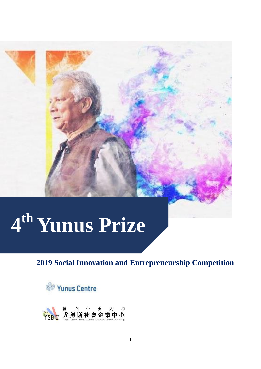# **th Yunus Prize**

# **2019 Social Innovation and Entrepreneurship Competition**



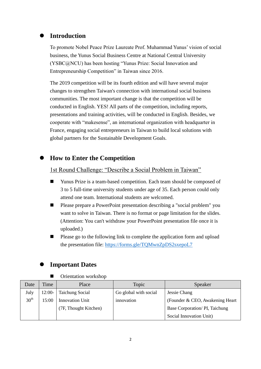#### **Introduction**

To promote Nobel Peace Prize Laureate Prof. Muhammad Yunus' vision of social business, the Yunus Social Business Centre at National Central University (YSBC@NCU) has been hosting "Yunus Prize: Social Innovation and Entrepreneurship Competition" in Taiwan since 2016.

The 2019 competition will be its fourth edition and will have several major changes to strengthen Taiwan's connection with international social business communities. The most important change is that the competition will be conducted in English. YES! All parts of the competition, including reports, presentations and training activities, will be conducted in English. Besides, we cooperate with "makesense", an international organization with headquarter in France, engaging social entrepreneurs in Taiwan to build local solutions with global partners for the Sustainable Development Goals.

#### **How to Enter the Competition**

#### 1st Round Challenge: "Describe a Social Problem in Taiwan"

- Yunus Prize is a team-based competition. Each team should be composed of 3 to 5 full-time university students under age of 35. Each person could only attend one team. International students are welcomed.
- Please prepare a PowerPoint presentation describing a "social problem" you want to solve in Taiwan. There is no format or page limitation for the slides. (Attention: You can't withdraw your PowerPoint presentation file once it is uploaded.)
- **Please go to the following link to complete the application form and upload** the presentation file:<https://forms.gle/TQMwnZpDS2sxepoL7>

#### **Important Dates**

**Department** Orientation workshop

| Date             | Time     | Place                  | Topic                 | Speaker                          |
|------------------|----------|------------------------|-----------------------|----------------------------------|
| July             | $12:00-$ | <b>Taichung Social</b> | Go global with social | Jessie Chang                     |
| $30^{\text{th}}$ | 15:00    | <b>Innovation Unit</b> | innovation            | (Founder & CEO, Awakening Heart) |
|                  |          | (7F, Thought Kitchen)  |                       | Base Corporation/PI, Taichung    |
|                  |          |                        |                       | Social Innovation Unit)          |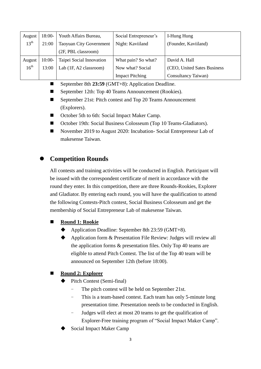| August           | $18:00-$ | Youth Affairs Bureau,          | Social Entrepreneur's  | I-Hung Hung                  |
|------------------|----------|--------------------------------|------------------------|------------------------------|
| $13^{th}$        | 21:00    | <b>Taoyuan City Government</b> | Night: Kaviiland       | (Founder, Kaviiland)         |
|                  |          | (2F, PBL classroom)            |                        |                              |
| August           | $10:00-$ | Taipei Social Innovation       | What pain? So what?    | David A. Hall                |
| 16 <sup>th</sup> | 13:00    | Lab (1F, A2 classroom)         | Now what? Social       | (CEO, United Sates Business) |
|                  |          |                                | <b>Impact Pitching</b> | Consultancy Taiwan)          |

- September 8th 23:59 (GMT+8): Application Deadline.
- September 12th: Top 40 Teams Announcement (Rookies).
- September 21st: Pitch contest and Top 20 Teams Announcement (Explorers).
- October 5th to 6th: Social Impact Maker Camp.
- October 19th: Social Business Colosseum (Top 10 Teams-Gladiators).
- November 2019 to August 2020: Incubation-Social Entrepreneur Lab of makesense Taiwan.

### **Competition Rounds**

All contests and training activities will be conducted in English. Participant will be issued with the correspondent certificate of merit in accordance with the round they enter. In this competition, there are three Rounds-Rookies, Explorer and Gladiator. By entering each round, you will have the qualification to attend the following Contests-Pitch contest, Social Business Colosseum and get the membership of Social Entrepreneur Lab of makesense Taiwan.

#### **Round 1: Rookie**

- Application Deadline: September 8th 23:59 (GMT+8).
- Application form & Presentation File Review: Judges will review all the application forms & presentation files. Only Top 40 teams are eligible to attend Pitch Contest. The list of the Top 40 team will be announced on September 12th (before 18:00).

#### **Round 2: Explorer**

- Pitch Contest (Semi-final)
	- The pitch contest will be held on September 21st.
	- This is a team-based contest. Each team has only 5-minute long presentation time. Presentation needs to be conducted in English.
	- Judges will elect at most 20 teams to get the qualification of Explorer-Free training program of "Social Impact Maker Camp".
- Social Impact Maker Camp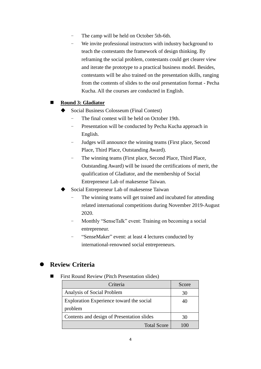- The camp will be held on October 5th-6th.
- We invite professional instructors with industry background to teach the contestants the framework of design thinking. By reframing the social problem, contestants could get clearer view and iterate the prototype to a practical business model. Besides, contestants will be also trained on the presentation skills, ranging from the contents of slides to the oral presentation format - Pecha Kucha. All the courses are conducted in English.

#### **Round 3: Gladiator**

- Social Business Colosseum (Final Contest)
	- The final contest will be held on October 19th.
	- Presentation will be conducted by Pecha Kucha approach in English.
	- Judges will announce the winning teams (First place, Second Place, Third Place, Outstanding Award).
	- The winning teams (First place, Second Place, Third Place, Outstanding Award) will be issued the certifications of merit, the qualification of Gladiator, and the membership of Social Entrepreneur Lab of makesense Taiwan.
- Social Entrepreneur Lab of makesense Taiwan
	- The winning teams will get trained and incubated for attending related international competitions during November 2019-August 2020.
	- Monthly "SenseTalk" event: Training on becoming a social entrepreneur.
	- "SenseMaker" event: at least 4 lectures conducted by international-renowned social entrepreneurs.

## **Review Criteria**

First Round Review (Pitch Presentation slides)

| Criteria                                   | Score |
|--------------------------------------------|-------|
| Analysis of Social Problem                 | 30    |
| Exploration Experience toward the social   | 40    |
| problem                                    |       |
| Contents and design of Presentation slides | 30    |
| <b>Total Score</b>                         |       |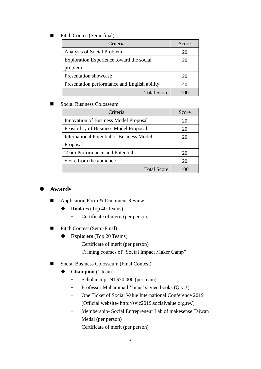Pitch Contest(Semi-final)

| Criteria                                     | Score |
|----------------------------------------------|-------|
| Analysis of Social Problem                   | 20    |
| Exploration Experience toward the social     | 20    |
| problem                                      |       |
| <b>Presentation showcase</b>                 | 20    |
| Presentation performance and English ability | 40    |
| <b>Total Score</b>                           |       |

#### Social Business Colosseum

| Criteria                                      | Score |
|-----------------------------------------------|-------|
| Innovation of Business Model Proposal         | 20    |
| <b>Feasibility of Business Model Proposal</b> | 20    |
| International Potential of Business Model     | 20    |
| Proposal                                      |       |
| <b>Team Performance and Potential</b>         | 20    |
| Score from the audience                       | 20    |
| <b>Total Score</b>                            | 100   |

#### **Awards**

- Application Form & Document Review
	- ◆ **Rookies** (Top 40 Teams)
		- Certificate of merit (per person)
- Pitch Contest (Semi-Final)
	- **Explorers** (Top 20 Teams)
		- Certificate of merit (per person)
		- Training courses of "Social Impact Maker Camp"
- Social Business Colosseum (Final Contest)
	- **Champion** (1 team)
		- Scholarship- NT\$70,000 (per team)
		- Professor Muhammad Yunus' signed books (Qty:3)
		- One Ticket of Social Value International Conference 2019
		- (Official website- http://svic2019.socialvalue.org.tw/)
		- Membership- Social Entrepreneur Lab of makesense Taiwan
		- Medal (per person)
		- Certificate of merit (per person)